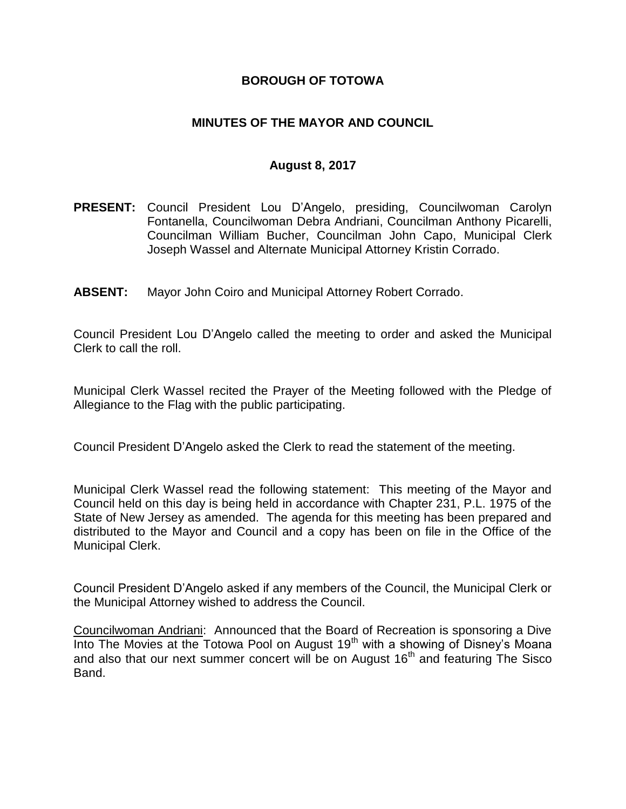## **BOROUGH OF TOTOWA**

## **MINUTES OF THE MAYOR AND COUNCIL**

### **August 8, 2017**

- **PRESENT:** Council President Lou D'Angelo, presiding, Councilwoman Carolyn Fontanella, Councilwoman Debra Andriani, Councilman Anthony Picarelli, Councilman William Bucher, Councilman John Capo, Municipal Clerk Joseph Wassel and Alternate Municipal Attorney Kristin Corrado.
- **ABSENT:** Mayor John Coiro and Municipal Attorney Robert Corrado.

Council President Lou D'Angelo called the meeting to order and asked the Municipal Clerk to call the roll.

Municipal Clerk Wassel recited the Prayer of the Meeting followed with the Pledge of Allegiance to the Flag with the public participating.

Council President D'Angelo asked the Clerk to read the statement of the meeting.

Municipal Clerk Wassel read the following statement: This meeting of the Mayor and Council held on this day is being held in accordance with Chapter 231, P.L. 1975 of the State of New Jersey as amended. The agenda for this meeting has been prepared and distributed to the Mayor and Council and a copy has been on file in the Office of the Municipal Clerk.

Council President D'Angelo asked if any members of the Council, the Municipal Clerk or the Municipal Attorney wished to address the Council.

Councilwoman Andriani: Announced that the Board of Recreation is sponsoring a Dive Into The Movies at the Totowa Pool on August 19<sup>th</sup> with a showing of Disney's Moana and also that our next summer concert will be on August  $16<sup>th</sup>$  and featuring The Sisco Band.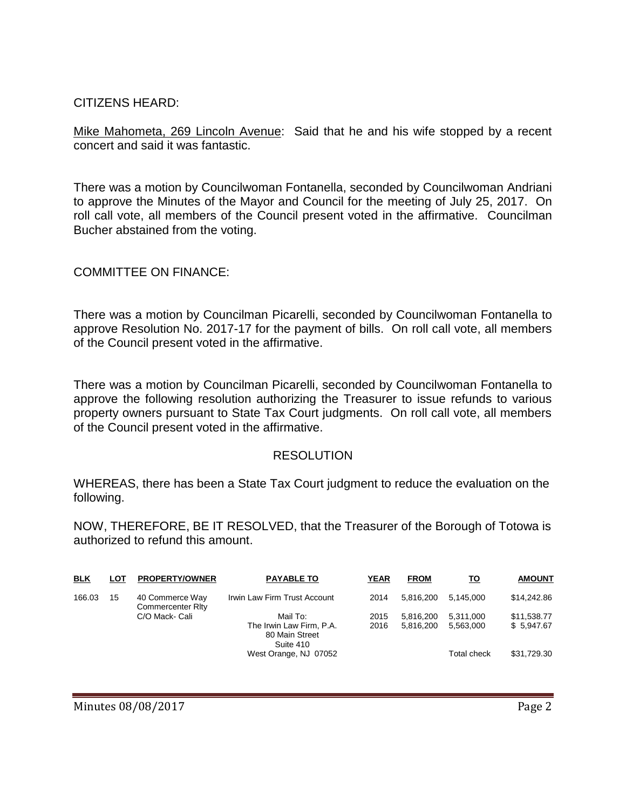### CITIZENS HEARD:

Mike Mahometa, 269 Lincoln Avenue: Said that he and his wife stopped by a recent concert and said it was fantastic.

There was a motion by Councilwoman Fontanella, seconded by Councilwoman Andriani to approve the Minutes of the Mayor and Council for the meeting of July 25, 2017. On roll call vote, all members of the Council present voted in the affirmative. Councilman Bucher abstained from the voting.

### COMMITTEE ON FINANCE:

There was a motion by Councilman Picarelli, seconded by Councilwoman Fontanella to approve Resolution No. 2017-17 for the payment of bills. On roll call vote, all members of the Council present voted in the affirmative.

There was a motion by Councilman Picarelli, seconded by Councilwoman Fontanella to approve the following resolution authorizing the Treasurer to issue refunds to various property owners pursuant to State Tax Court judgments. On roll call vote, all members of the Council present voted in the affirmative.

### RESOLUTION

WHEREAS, there has been a State Tax Court judgment to reduce the evaluation on the following.

NOW, THEREFORE, BE IT RESOLVED, that the Treasurer of the Borough of Totowa is authorized to refund this amount.

| <b>BLK</b> | LOT | <b>PROPERTY/OWNER</b>                       | <b>PAYABLE TO</b>                                                   | <b>YEAR</b>  | <b>FROM</b>            | <u>TO</u>              | <b>AMOUNT</b>             |
|------------|-----|---------------------------------------------|---------------------------------------------------------------------|--------------|------------------------|------------------------|---------------------------|
| 166.03     | 15  | 40 Commerce Way<br><b>Commercenter Rity</b> | Irwin Law Firm Trust Account                                        | 2014         | 5.816.200              | 5.145.000              | \$14,242.86               |
|            |     | C/O Mack- Cali                              | Mail To:<br>The Irwin Law Firm, P.A.<br>80 Main Street<br>Suite 410 | 2015<br>2016 | 5.816.200<br>5.816.200 | 5.311.000<br>5.563.000 | \$11,538.77<br>\$5,947.67 |
|            |     |                                             | West Orange, NJ 07052                                               |              |                        | <b>Total check</b>     | \$31.729.30               |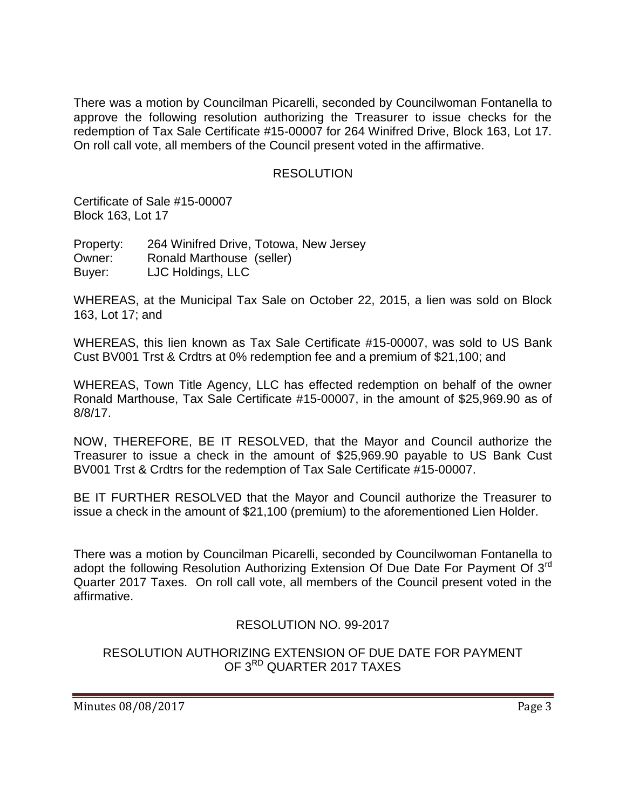There was a motion by Councilman Picarelli, seconded by Councilwoman Fontanella to approve the following resolution authorizing the Treasurer to issue checks for the redemption of Tax Sale Certificate #15-00007 for 264 Winifred Drive, Block 163, Lot 17. On roll call vote, all members of the Council present voted in the affirmative.

#### RESOLUTION

Certificate of Sale #15-00007 Block 163, Lot 17

Property: 264 Winifred Drive, Totowa, New Jersey Owner: Ronald Marthouse (seller) Buyer: LJC Holdings, LLC

WHEREAS, at the Municipal Tax Sale on October 22, 2015, a lien was sold on Block 163, Lot 17; and

WHEREAS, this lien known as Tax Sale Certificate #15-00007, was sold to US Bank Cust BV001 Trst & Crdtrs at 0% redemption fee and a premium of \$21,100; and

WHEREAS, Town Title Agency, LLC has effected redemption on behalf of the owner Ronald Marthouse, Tax Sale Certificate #15-00007, in the amount of \$25,969.90 as of 8/8/17.

NOW, THEREFORE, BE IT RESOLVED, that the Mayor and Council authorize the Treasurer to issue a check in the amount of \$25,969.90 payable to US Bank Cust BV001 Trst & Crdtrs for the redemption of Tax Sale Certificate #15-00007.

BE IT FURTHER RESOLVED that the Mayor and Council authorize the Treasurer to issue a check in the amount of \$21,100 (premium) to the aforementioned Lien Holder.

There was a motion by Councilman Picarelli, seconded by Councilwoman Fontanella to adopt the following Resolution Authorizing Extension Of Due Date For Payment Of 3<sup>rd</sup> Quarter 2017 Taxes. On roll call vote, all members of the Council present voted in the affirmative.

## RESOLUTION NO. 99-2017

## RESOLUTION AUTHORIZING EXTENSION OF DUE DATE FOR PAYMENT OF 3<sup>RD</sup> QUARTER 2017 TAXES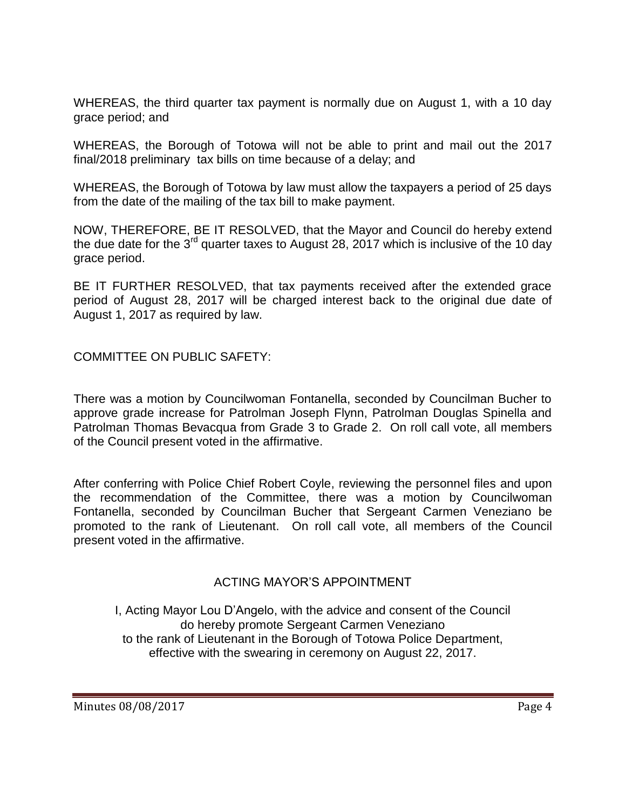WHEREAS, the third quarter tax payment is normally due on August 1, with a 10 day grace period; and

WHEREAS, the Borough of Totowa will not be able to print and mail out the 2017 final/2018 preliminary tax bills on time because of a delay; and

WHEREAS, the Borough of Totowa by law must allow the taxpayers a period of 25 days from the date of the mailing of the tax bill to make payment.

NOW, THEREFORE, BE IT RESOLVED, that the Mayor and Council do hereby extend the due date for the  $3<sup>rd</sup>$  quarter taxes to August 28, 2017 which is inclusive of the 10 day grace period.

BE IT FURTHER RESOLVED, that tax payments received after the extended grace period of August 28, 2017 will be charged interest back to the original due date of August 1, 2017 as required by law.

COMMITTEE ON PUBLIC SAFETY:

There was a motion by Councilwoman Fontanella, seconded by Councilman Bucher to approve grade increase for Patrolman Joseph Flynn, Patrolman Douglas Spinella and Patrolman Thomas Bevacqua from Grade 3 to Grade 2. On roll call vote, all members of the Council present voted in the affirmative.

After conferring with Police Chief Robert Coyle, reviewing the personnel files and upon the recommendation of the Committee, there was a motion by Councilwoman Fontanella, seconded by Councilman Bucher that Sergeant Carmen Veneziano be promoted to the rank of Lieutenant. On roll call vote, all members of the Council present voted in the affirmative.

### ACTING MAYOR'S APPOINTMENT

I, Acting Mayor Lou D'Angelo, with the advice and consent of the Council do hereby promote Sergeant Carmen Veneziano to the rank of Lieutenant in the Borough of Totowa Police Department, effective with the swearing in ceremony on August 22, 2017.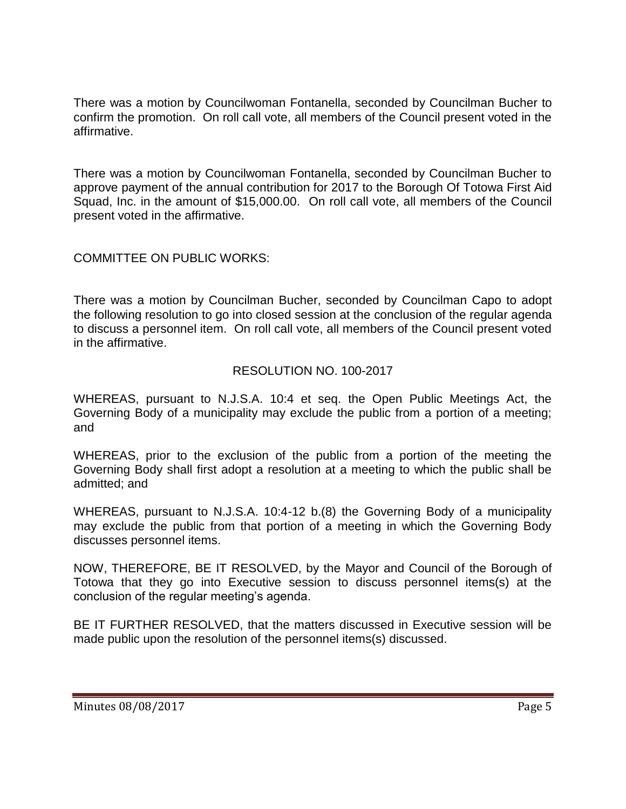There was a motion by Councilwoman Fontanella, seconded by Councilman Bucher to confirm the promotion. On roll call vote, all members of the Council present voted in the affirmative.

There was a motion by Councilwoman Fontanella, seconded by Councilman Bucher to approve payment of the annual contribution for 2017 to the Borough Of Totowa First Aid Squad, Inc. in the amount of \$15,000.00. On roll call vote, all members of the Council present voted in the affirmative.

## COMMITTEE ON PUBLIC WORKS:

There was a motion by Councilman Bucher, seconded by Councilman Capo to adopt the following resolution to go into closed session at the conclusion of the regular agenda to discuss a personnel item. On roll call vote, all members of the Council present voted in the affirmative.

## RESOLUTION NO. 100-2017

WHEREAS, pursuant to N.J.S.A. 10:4 et seq. the Open Public Meetings Act, the Governing Body of a municipality may exclude the public from a portion of a meeting; and

WHEREAS, prior to the exclusion of the public from a portion of the meeting the Governing Body shall first adopt a resolution at a meeting to which the public shall be admitted; and

WHEREAS, pursuant to N.J.S.A. 10:4-12 b.(8) the Governing Body of a municipality may exclude the public from that portion of a meeting in which the Governing Body discusses personnel items.

NOW, THEREFORE, BE IT RESOLVED, by the Mayor and Council of the Borough of Totowa that they go into Executive session to discuss personnel items(s) at the conclusion of the regular meeting's agenda.

BE IT FURTHER RESOLVED, that the matters discussed in Executive session will be made public upon the resolution of the personnel items(s) discussed.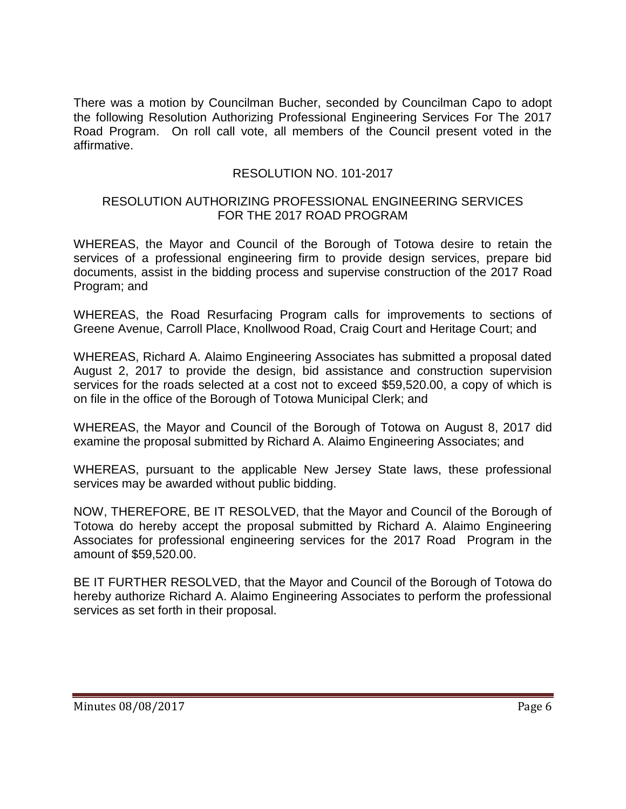There was a motion by Councilman Bucher, seconded by Councilman Capo to adopt the following Resolution Authorizing Professional Engineering Services For The 2017 Road Program. On roll call vote, all members of the Council present voted in the affirmative.

## RESOLUTION NO. 101-2017

### RESOLUTION AUTHORIZING PROFESSIONAL ENGINEERING SERVICES FOR THE 2017 ROAD PROGRAM

WHEREAS, the Mayor and Council of the Borough of Totowa desire to retain the services of a professional engineering firm to provide design services, prepare bid documents, assist in the bidding process and supervise construction of the 2017 Road Program; and

WHEREAS, the Road Resurfacing Program calls for improvements to sections of Greene Avenue, Carroll Place, Knollwood Road, Craig Court and Heritage Court; and

WHEREAS, Richard A. Alaimo Engineering Associates has submitted a proposal dated August 2, 2017 to provide the design, bid assistance and construction supervision services for the roads selected at a cost not to exceed \$59,520.00, a copy of which is on file in the office of the Borough of Totowa Municipal Clerk; and

WHEREAS, the Mayor and Council of the Borough of Totowa on August 8, 2017 did examine the proposal submitted by Richard A. Alaimo Engineering Associates; and

WHEREAS, pursuant to the applicable New Jersey State laws, these professional services may be awarded without public bidding.

NOW, THEREFORE, BE IT RESOLVED, that the Mayor and Council of the Borough of Totowa do hereby accept the proposal submitted by Richard A. Alaimo Engineering Associates for professional engineering services for the 2017 Road Program in the amount of \$59,520.00.

BE IT FURTHER RESOLVED, that the Mayor and Council of the Borough of Totowa do hereby authorize Richard A. Alaimo Engineering Associates to perform the professional services as set forth in their proposal.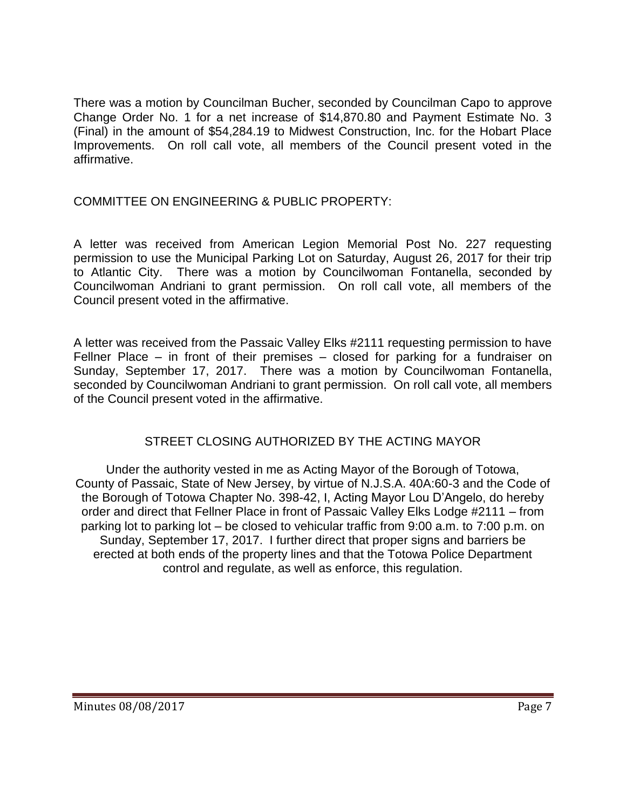There was a motion by Councilman Bucher, seconded by Councilman Capo to approve Change Order No. 1 for a net increase of \$14,870.80 and Payment Estimate No. 3 (Final) in the amount of \$54,284.19 to Midwest Construction, Inc. for the Hobart Place Improvements. On roll call vote, all members of the Council present voted in the affirmative.

## COMMITTEE ON ENGINEERING & PUBLIC PROPERTY:

A letter was received from American Legion Memorial Post No. 227 requesting permission to use the Municipal Parking Lot on Saturday, August 26, 2017 for their trip to Atlantic City. There was a motion by Councilwoman Fontanella, seconded by Councilwoman Andriani to grant permission. On roll call vote, all members of the Council present voted in the affirmative.

A letter was received from the Passaic Valley Elks #2111 requesting permission to have Fellner Place – in front of their premises – closed for parking for a fundraiser on Sunday, September 17, 2017. There was a motion by Councilwoman Fontanella, seconded by Councilwoman Andriani to grant permission. On roll call vote, all members of the Council present voted in the affirmative.

# STREET CLOSING AUTHORIZED BY THE ACTING MAYOR

Under the authority vested in me as Acting Mayor of the Borough of Totowa, County of Passaic, State of New Jersey, by virtue of N.J.S.A. 40A:60-3 and the Code of the Borough of Totowa Chapter No. 398-42, I, Acting Mayor Lou D'Angelo, do hereby order and direct that Fellner Place in front of Passaic Valley Elks Lodge #2111 – from parking lot to parking lot – be closed to vehicular traffic from 9:00 a.m. to 7:00 p.m. on Sunday, September 17, 2017. I further direct that proper signs and barriers be erected at both ends of the property lines and that the Totowa Police Department control and regulate, as well as enforce, this regulation.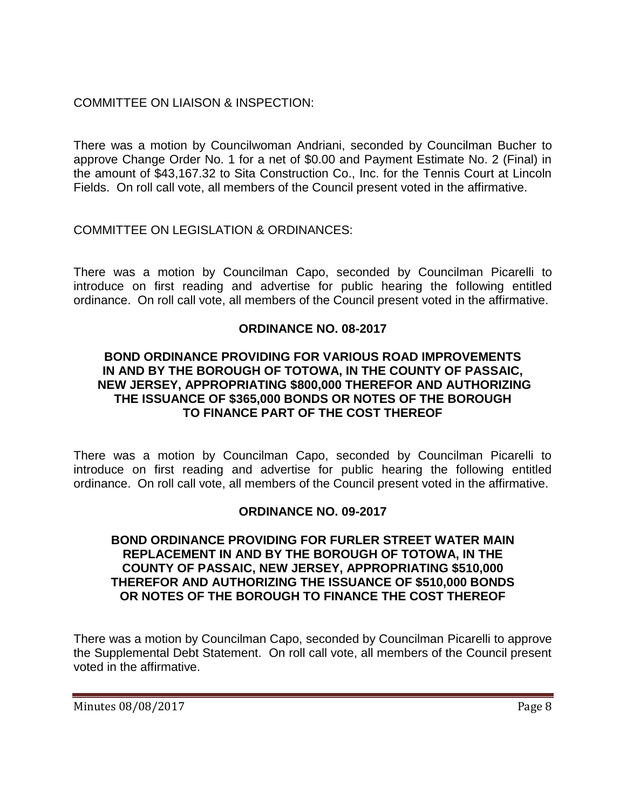## COMMITTEE ON LIAISON & INSPECTION:

There was a motion by Councilwoman Andriani, seconded by Councilman Bucher to approve Change Order No. 1 for a net of \$0.00 and Payment Estimate No. 2 (Final) in the amount of \$43,167.32 to Sita Construction Co., Inc. for the Tennis Court at Lincoln Fields. On roll call vote, all members of the Council present voted in the affirmative.

COMMITTEE ON LEGISLATION & ORDINANCES:

There was a motion by Councilman Capo, seconded by Councilman Picarelli to introduce on first reading and advertise for public hearing the following entitled ordinance. On roll call vote, all members of the Council present voted in the affirmative.

## **ORDINANCE NO. 08-2017**

### **BOND ORDINANCE PROVIDING FOR VARIOUS ROAD IMPROVEMENTS IN AND BY THE BOROUGH OF TOTOWA, IN THE COUNTY OF PASSAIC, NEW JERSEY, APPROPRIATING \$800,000 THEREFOR AND AUTHORIZING THE ISSUANCE OF \$365,000 BONDS OR NOTES OF THE BOROUGH TO FINANCE PART OF THE COST THEREOF**

There was a motion by Councilman Capo, seconded by Councilman Picarelli to introduce on first reading and advertise for public hearing the following entitled ordinance. On roll call vote, all members of the Council present voted in the affirmative.

## **ORDINANCE NO. 09-2017**

#### **BOND ORDINANCE PROVIDING FOR FURLER STREET WATER MAIN REPLACEMENT IN AND BY THE BOROUGH OF TOTOWA, IN THE COUNTY OF PASSAIC, NEW JERSEY, APPROPRIATING \$510,000 THEREFOR AND AUTHORIZING THE ISSUANCE OF \$510,000 BONDS OR NOTES OF THE BOROUGH TO FINANCE THE COST THEREOF**

There was a motion by Councilman Capo, seconded by Councilman Picarelli to approve the Supplemental Debt Statement. On roll call vote, all members of the Council present voted in the affirmative.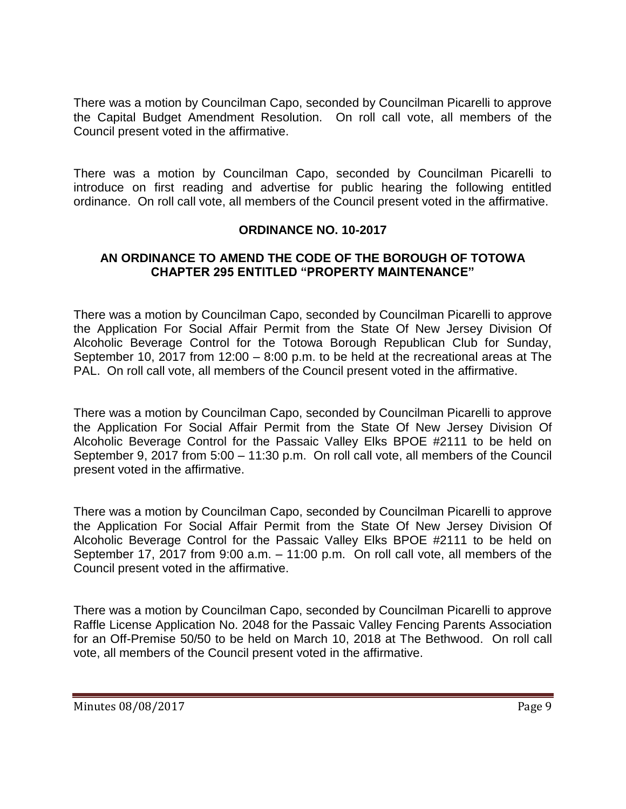There was a motion by Councilman Capo, seconded by Councilman Picarelli to approve the Capital Budget Amendment Resolution. On roll call vote, all members of the Council present voted in the affirmative.

There was a motion by Councilman Capo, seconded by Councilman Picarelli to introduce on first reading and advertise for public hearing the following entitled ordinance. On roll call vote, all members of the Council present voted in the affirmative.

## **ORDINANCE NO. 10-2017**

## **AN ORDINANCE TO AMEND THE CODE OF THE BOROUGH OF TOTOWA CHAPTER 295 ENTITLED "PROPERTY MAINTENANCE"**

There was a motion by Councilman Capo, seconded by Councilman Picarelli to approve the Application For Social Affair Permit from the State Of New Jersey Division Of Alcoholic Beverage Control for the Totowa Borough Republican Club for Sunday, September 10, 2017 from 12:00 – 8:00 p.m. to be held at the recreational areas at The PAL. On roll call vote, all members of the Council present voted in the affirmative.

There was a motion by Councilman Capo, seconded by Councilman Picarelli to approve the Application For Social Affair Permit from the State Of New Jersey Division Of Alcoholic Beverage Control for the Passaic Valley Elks BPOE #2111 to be held on September 9, 2017 from 5:00 – 11:30 p.m. On roll call vote, all members of the Council present voted in the affirmative.

There was a motion by Councilman Capo, seconded by Councilman Picarelli to approve the Application For Social Affair Permit from the State Of New Jersey Division Of Alcoholic Beverage Control for the Passaic Valley Elks BPOE #2111 to be held on September 17, 2017 from 9:00 a.m. – 11:00 p.m. On roll call vote, all members of the Council present voted in the affirmative.

There was a motion by Councilman Capo, seconded by Councilman Picarelli to approve Raffle License Application No. 2048 for the Passaic Valley Fencing Parents Association for an Off-Premise 50/50 to be held on March 10, 2018 at The Bethwood. On roll call vote, all members of the Council present voted in the affirmative.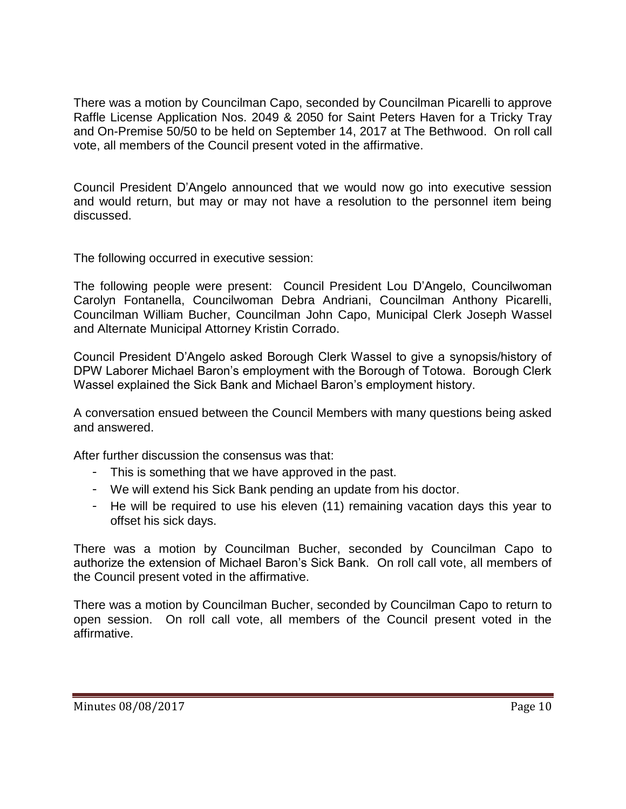There was a motion by Councilman Capo, seconded by Councilman Picarelli to approve Raffle License Application Nos. 2049 & 2050 for Saint Peters Haven for a Tricky Tray and On-Premise 50/50 to be held on September 14, 2017 at The Bethwood. On roll call vote, all members of the Council present voted in the affirmative.

Council President D'Angelo announced that we would now go into executive session and would return, but may or may not have a resolution to the personnel item being discussed.

The following occurred in executive session:

The following people were present: Council President Lou D'Angelo, Councilwoman Carolyn Fontanella, Councilwoman Debra Andriani, Councilman Anthony Picarelli, Councilman William Bucher, Councilman John Capo, Municipal Clerk Joseph Wassel and Alternate Municipal Attorney Kristin Corrado.

Council President D'Angelo asked Borough Clerk Wassel to give a synopsis/history of DPW Laborer Michael Baron's employment with the Borough of Totowa. Borough Clerk Wassel explained the Sick Bank and Michael Baron's employment history.

A conversation ensued between the Council Members with many questions being asked and answered.

After further discussion the consensus was that:

- This is something that we have approved in the past.
- We will extend his Sick Bank pending an update from his doctor.
- He will be required to use his eleven (11) remaining vacation days this year to offset his sick days.

There was a motion by Councilman Bucher, seconded by Councilman Capo to authorize the extension of Michael Baron's Sick Bank. On roll call vote, all members of the Council present voted in the affirmative.

There was a motion by Councilman Bucher, seconded by Councilman Capo to return to open session. On roll call vote, all members of the Council present voted in the affirmative.